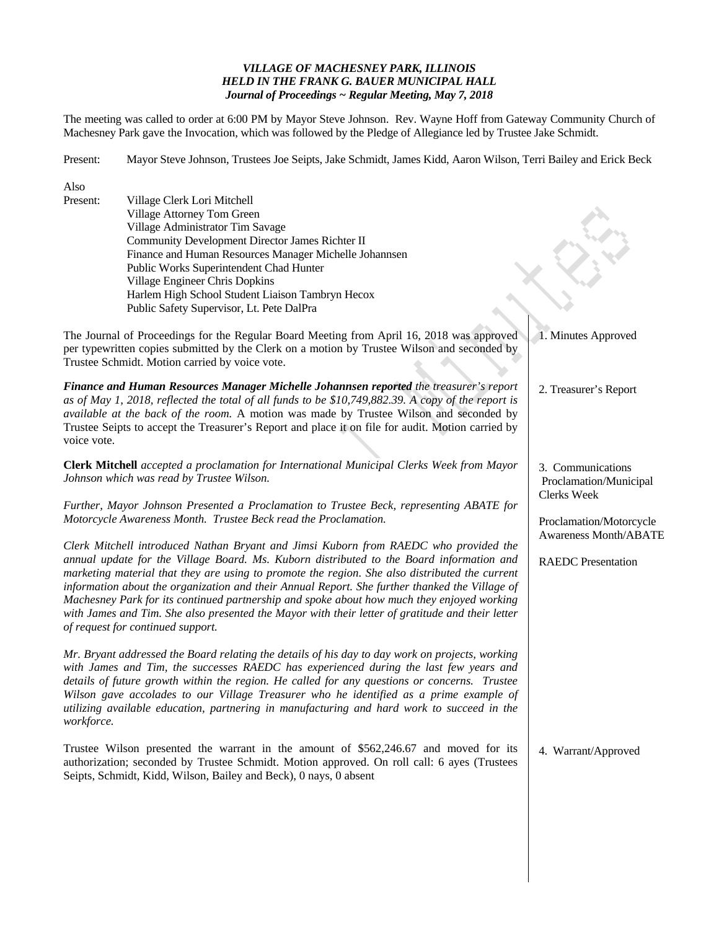# *VILLAGE OF MACHESNEY PARK, ILLINOIS HELD IN THE FRANK G. BAUER MUNICIPAL HALL Journal of Proceedings ~ Regular Meeting, May 7, 2018*

The meeting was called to order at 6:00 PM by Mayor Steve Johnson. Rev. Wayne Hoff from Gateway Community Church of Machesney Park gave the Invocation, which was followed by the Pledge of Allegiance led by Trustee Jake Schmidt.

Present: Mayor Steve Johnson, Trustees Joe Seipts, Jake Schmidt, James Kidd, Aaron Wilson, Terri Bailey and Erick Beck

| Also                                                                                                                                                                                                                                                                                                                                                                                                                                                                                                                                |                                                                                                                                                                                                                                                                                                                                                                                                                                                                                  |                                                            |
|-------------------------------------------------------------------------------------------------------------------------------------------------------------------------------------------------------------------------------------------------------------------------------------------------------------------------------------------------------------------------------------------------------------------------------------------------------------------------------------------------------------------------------------|----------------------------------------------------------------------------------------------------------------------------------------------------------------------------------------------------------------------------------------------------------------------------------------------------------------------------------------------------------------------------------------------------------------------------------------------------------------------------------|------------------------------------------------------------|
| Present:                                                                                                                                                                                                                                                                                                                                                                                                                                                                                                                            | Village Clerk Lori Mitchell<br>Village Attorney Tom Green                                                                                                                                                                                                                                                                                                                                                                                                                        |                                                            |
|                                                                                                                                                                                                                                                                                                                                                                                                                                                                                                                                     | Village Administrator Tim Savage                                                                                                                                                                                                                                                                                                                                                                                                                                                 |                                                            |
|                                                                                                                                                                                                                                                                                                                                                                                                                                                                                                                                     | Community Development Director James Richter II                                                                                                                                                                                                                                                                                                                                                                                                                                  |                                                            |
|                                                                                                                                                                                                                                                                                                                                                                                                                                                                                                                                     | Finance and Human Resources Manager Michelle Johannsen                                                                                                                                                                                                                                                                                                                                                                                                                           |                                                            |
|                                                                                                                                                                                                                                                                                                                                                                                                                                                                                                                                     |                                                                                                                                                                                                                                                                                                                                                                                                                                                                                  |                                                            |
|                                                                                                                                                                                                                                                                                                                                                                                                                                                                                                                                     | Public Works Superintendent Chad Hunter                                                                                                                                                                                                                                                                                                                                                                                                                                          |                                                            |
|                                                                                                                                                                                                                                                                                                                                                                                                                                                                                                                                     | Village Engineer Chris Dopkins                                                                                                                                                                                                                                                                                                                                                                                                                                                   |                                                            |
|                                                                                                                                                                                                                                                                                                                                                                                                                                                                                                                                     | Harlem High School Student Liaison Tambryn Hecox                                                                                                                                                                                                                                                                                                                                                                                                                                 |                                                            |
|                                                                                                                                                                                                                                                                                                                                                                                                                                                                                                                                     | Public Safety Supervisor, Lt. Pete DalPra                                                                                                                                                                                                                                                                                                                                                                                                                                        |                                                            |
|                                                                                                                                                                                                                                                                                                                                                                                                                                                                                                                                     | The Journal of Proceedings for the Regular Board Meeting from April 16, 2018 was approved<br>per typewritten copies submitted by the Clerk on a motion by Trustee Wilson and seconded by<br>Trustee Schmidt. Motion carried by voice vote.                                                                                                                                                                                                                                       | 1. Minutes Approved                                        |
| voice vote.                                                                                                                                                                                                                                                                                                                                                                                                                                                                                                                         | Finance and Human Resources Manager Michelle Johannsen reported the treasurer's report<br>as of May 1, 2018, reflected the total of all funds to be \$10,749,882.39. A copy of the report is<br>available at the back of the room. A motion was made by Trustee Wilson and seconded by<br>Trustee Seipts to accept the Treasurer's Report and place it on file for audit. Motion carried by                                                                                      | 2. Treasurer's Report                                      |
| Clerk Mitchell accepted a proclamation for International Municipal Clerks Week from Mayor<br>Johnson which was read by Trustee Wilson.                                                                                                                                                                                                                                                                                                                                                                                              |                                                                                                                                                                                                                                                                                                                                                                                                                                                                                  | 3. Communications<br>Proclamation/Municipal<br>Clerks Week |
|                                                                                                                                                                                                                                                                                                                                                                                                                                                                                                                                     |                                                                                                                                                                                                                                                                                                                                                                                                                                                                                  |                                                            |
| Further, Mayor Johnson Presented a Proclamation to Trustee Beck, representing ABATE for<br>Motorcycle Awareness Month. Trustee Beck read the Proclamation.                                                                                                                                                                                                                                                                                                                                                                          |                                                                                                                                                                                                                                                                                                                                                                                                                                                                                  |                                                            |
|                                                                                                                                                                                                                                                                                                                                                                                                                                                                                                                                     |                                                                                                                                                                                                                                                                                                                                                                                                                                                                                  | Proclamation/Motorcycle                                    |
|                                                                                                                                                                                                                                                                                                                                                                                                                                                                                                                                     | Clerk Mitchell introduced Nathan Bryant and Jimsi Kuborn from RAEDC who provided the                                                                                                                                                                                                                                                                                                                                                                                             | <b>Awareness Month/ABATE</b>                               |
|                                                                                                                                                                                                                                                                                                                                                                                                                                                                                                                                     |                                                                                                                                                                                                                                                                                                                                                                                                                                                                                  |                                                            |
| annual update for the Village Board. Ms. Kuborn distributed to the Board information and<br>marketing material that they are using to promote the region. She also distributed the current<br>information about the organization and their Annual Report. She further thanked the Village of<br>Machesney Park for its continued partnership and spoke about how much they enjoyed working<br>with James and Tim. She also presented the Mayor with their letter of gratitude and their letter<br>of request for continued support. |                                                                                                                                                                                                                                                                                                                                                                                                                                                                                  | <b>RAEDC</b> Presentation                                  |
| workforce.                                                                                                                                                                                                                                                                                                                                                                                                                                                                                                                          | Mr. Bryant addressed the Board relating the details of his day to day work on projects, working<br>with James and Tim, the successes RAEDC has experienced during the last few years and<br>details of future growth within the region. He called for any questions or concerns. Trustee<br>Wilson gave accolades to our Village Treasurer who he identified as a prime example of<br>utilizing available education, partnering in manufacturing and hard work to succeed in the |                                                            |
|                                                                                                                                                                                                                                                                                                                                                                                                                                                                                                                                     | Trustee Wilson presented the warrant in the amount of \$562,246.67 and moved for its<br>authorization; seconded by Trustee Schmidt. Motion approved. On roll call: 6 ayes (Trustees<br>Seipts, Schmidt, Kidd, Wilson, Bailey and Beck), 0 nays, 0 absent                                                                                                                                                                                                                         | 4. Warrant/Approved                                        |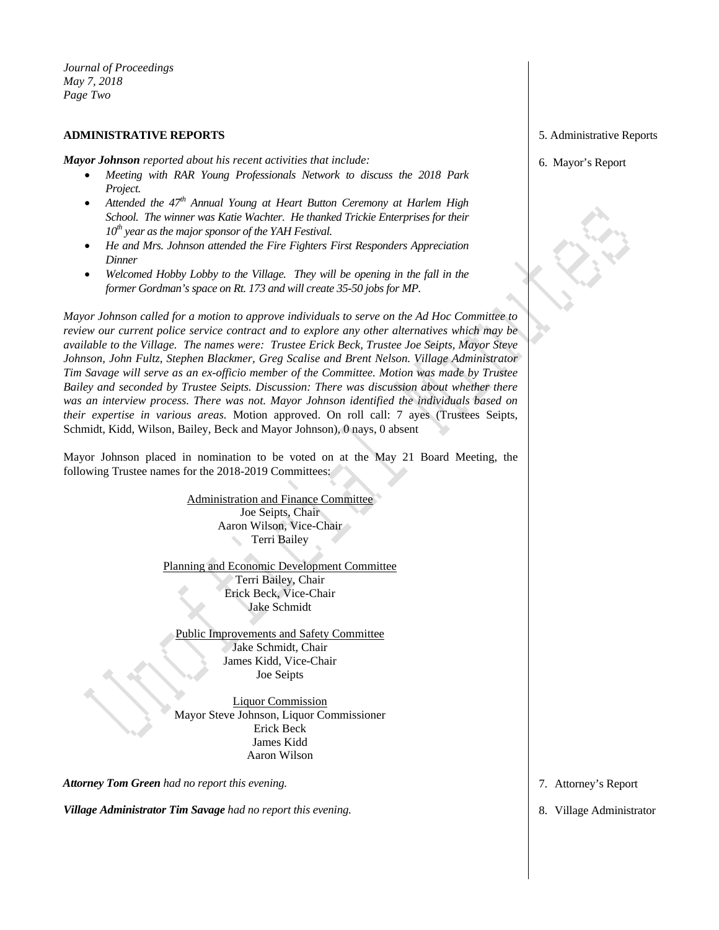*Journal of Proceedings May 7, 2018 Page Two* 

## **ADMINISTRATIVE REPORTS**

*Mayor Johnson reported about his recent activities that include:* 

- *Meeting with RAR Young Professionals Network to discuss the 2018 Park Project.*
- *Attended the 47th Annual Young at Heart Button Ceremony at Harlem High School. The winner was Katie Wachter. He thanked Trickie Enterprises for their*  10<sup>th</sup> year as the major sponsor of the YAH Festival.
- *He and Mrs. Johnson attended the Fire Fighters First Responders Appreciation Dinner*
- Welcomed Hobby Lobby to the Village. They will be opening in the fall in the *former Gordman's space on Rt. 173 and will create 35-50 jobs for MP.*

*Mayor Johnson called for a motion to approve individuals to serve on the Ad Hoc Committee to review our current police service contract and to explore any other alternatives which may be available to the Village. The names were: Trustee Erick Beck, Trustee Joe Seipts, Mayor Steve Johnson, John Fultz, Stephen Blackmer, Greg Scalise and Brent Nelson. Village Administrator Tim Savage will serve as an ex-officio member of the Committee. Motion was made by Trustee Bailey and seconded by Trustee Seipts. Discussion: There was discussion about whether there was an interview process. There was not. Mayor Johnson identified the individuals based on their expertise in various areas.* Motion approved. On roll call: 7 ayes (Trustees Seipts, Schmidt, Kidd, Wilson, Bailey, Beck and Mayor Johnson), 0 nays, 0 absent

Mayor Johnson placed in nomination to be voted on at the May 21 Board Meeting, the following Trustee names for the 2018-2019 Committees:

> Administration and Finance Committee Joe Seipts, Chair Aaron Wilson, Vice-Chair **Terri Bailey**

Planning and Economic Development Committee Terri Bailey, Chair Erick Beck, Vice-Chair Jake Schmidt

Public Improvements and Safety Committee Jake Schmidt, Chair James Kidd, Vice-Chair Joe Seipts

Liquor Commission Mayor Steve Johnson, Liquor Commissioner Erick Beck James Kidd Aaron Wilson

*Attorney Tom Green had no report this evening.* 

*Village Administrator Tim Savage had no report this evening.* 

5. Administrative Reports

6. Mayor's Report

7. Attorney's Report

8. Village Administrator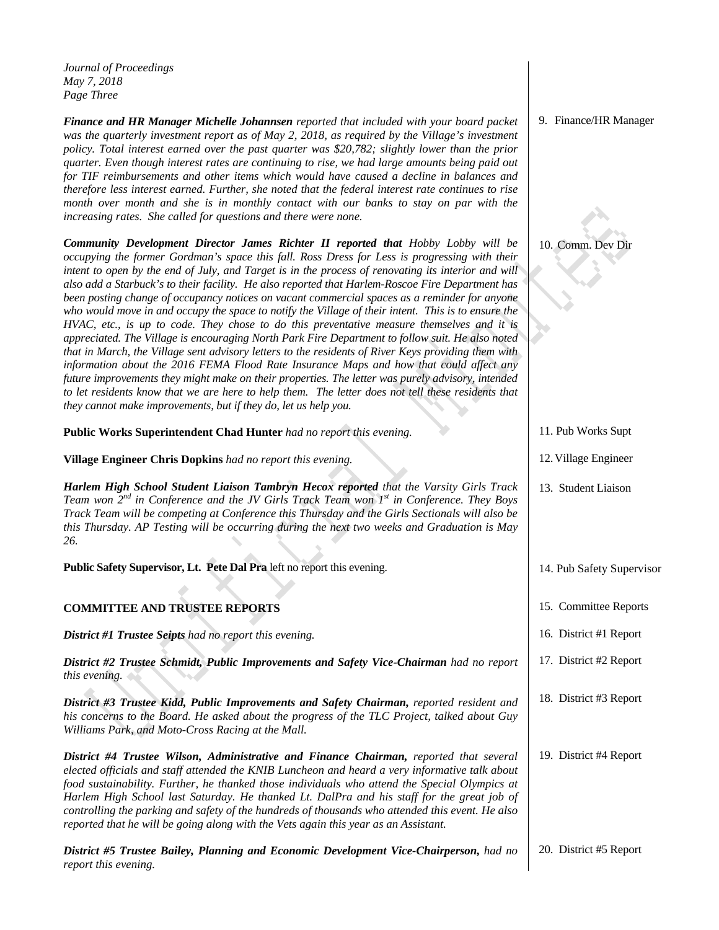*Journal of Proceedings May 7, 2018 Page Three* 

*Finance and HR Manager Michelle Johannsen reported that included with your board packet was the quarterly investment report as of May 2, 2018, as required by the Village's investment policy. Total interest earned over the past quarter was \$20,782; slightly lower than the prior quarter. Even though interest rates are continuing to rise, we had large amounts being paid out for TIF reimbursements and other items which would have caused a decline in balances and therefore less interest earned. Further, she noted that the federal interest rate continues to rise month over month and she is in monthly contact with our banks to stay on par with the increasing rates. She called for questions and there were none.* 

*Community Development Director James Richter II reported that Hobby Lobby will be occupying the former Gordman's space this fall. Ross Dress for Less is progressing with their intent to open by the end of July, and Target is in the process of renovating its interior and will also add a Starbuck's to their facility. He also reported that Harlem-Roscoe Fire Department has been posting change of occupancy notices on vacant commercial spaces as a reminder for anyone who would move in and occupy the space to notify the Village of their intent. This is to ensure the HVAC, etc., is up to code. They chose to do this preventative measure themselves and it is appreciated. The Village is encouraging North Park Fire Department to follow suit. He also noted that in March, the Village sent advisory letters to the residents of River Keys providing them with information about the 2016 FEMA Flood Rate Insurance Maps and how that could affect any future improvements they might make on their properties. The letter was purely advisory, intended to let residents know that we are here to help them. The letter does not tell these residents that they cannot make improvements, but if they do, let us help you.* 

## **Public Works Superintendent Chad Hunter** *had no report this evening.*

**Village Engineer Chris Dopkins** *had no report this evening.* 

*Harlem High School Student Liaison Tambryn Hecox reported that the Varsity Girls Track Team won 2nd in Conference and the JV Girls Track Team won 1st in Conference. They Boys Track Team will be competing at Conference this Thursday and the Girls Sectionals will also be this Thursday. AP Testing will be occurring during the next two weeks and Graduation is May 26.* 

**Public Safety Supervisor, Lt. Pete Dal Pra** left no report this evening.

# **COMMITTEE AND TRUSTEE REPORTS**

*District #1 Trustee Seipts had no report this evening.* 

*District #2 Trustee Schmidt, Public Improvements and Safety Vice-Chairman had no report this evening.* 

*District #3 Trustee Kidd, Public Improvements and Safety Chairman, reported resident and his concerns to the Board. He asked about the progress of the TLC Project, talked about Guy Williams Park, and Moto-Cross Racing at the Mall.* 

*District #4 Trustee Wilson, Administrative and Finance Chairman, reported that several elected officials and staff attended the KNIB Luncheon and heard a very informative talk about food sustainability. Further, he thanked those individuals who attend the Special Olympics at Harlem High School last Saturday. He thanked Lt. DalPra and his staff for the great job of controlling the parking and safety of the hundreds of thousands who attended this event. He also reported that he will be going along with the Vets again this year as an Assistant.* 

*District #5 Trustee Bailey, Planning and Economic Development Vice-Chairperson, had no report this evening.* 20. District #5 Report

9. Finance/HR Manager

10. Comm. Dev Dir

11. Pub Works Supt

- 12.Village Engineer
- 13. Student Liaison
- 14. Pub Safety Supervisor
- 15. Committee Reports
- 16. District #1 Report
- 17. District #2 Report
- 18. District #3 Report
- 19. District #4 Report